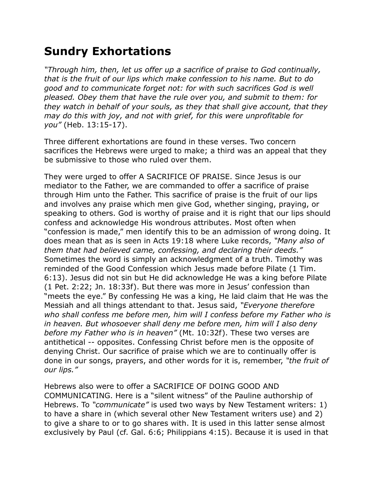## **Sundry Exhortations**

*"Through him, then, let us offer up a sacrifice of praise to God continually, that is the fruit of our lips which make confession to his name. But to do good and to communicate forget not: for with such sacrifices God is well pleased. Obey them that have the rule over you, and submit to them: for they watch in behalf of your souls, as they that shall give account, that they may do this with joy, and not with grief, for this were unprofitable for you"* (Heb. 13:15-17).

Three different exhortations are found in these verses. Two concern sacrifices the Hebrews were urged to make; a third was an appeal that they be submissive to those who ruled over them.

They were urged to offer A SACRIFICE OF PRAISE. Since Jesus is our mediator to the Father, we are commanded to offer a sacrifice of praise through Him unto the Father. This sacrifice of praise is the fruit of our lips and involves any praise which men give God, whether singing, praying, or speaking to others. God is worthy of praise and it is right that our lips should confess and acknowledge His wondrous attributes. Most often when "confession is made," men identify this to be an admission of wrong doing. It does mean that as is seen in Acts 19:18 where Luke records, *"Many also of them that had believed came, confessing, and declaring their deeds."*  Sometimes the word is simply an acknowledgment of a truth. Timothy was reminded of the Good Confession which Jesus made before Pilate (1 Tim. 6:13). Jesus did not sin but He did acknowledge He was a king before Pilate (1 Pet. 2:22; Jn. 18:33f). But there was more in Jesus' confession than "meets the eye." By confessing He was a king, He laid claim that He was the Messiah and all things attendant to that. Jesus said, *"Everyone therefore who shall confess me before men, him will I confess before my Father who is in heaven. But whosoever shall deny me before men, him will I also deny before my Father who is in heaven"* (Mt. 10:32f). These two verses are antithetical -- opposites. Confessing Christ before men is the opposite of denying Christ. Our sacrifice of praise which we are to continually offer is done in our songs, prayers, and other words for it is, remember, *"the fruit of our lips."*

Hebrews also were to offer a SACRIFICE OF DOING GOOD AND COMMUNICATING. Here is a "silent witness" of the Pauline authorship of Hebrews. To *"communicate"* is used two ways by New Testament writers: 1) to have a share in (which several other New Testament writers use) and 2) to give a share to or to go shares with. It is used in this latter sense almost exclusively by Paul (cf. Gal. 6:6; Philippians 4:15). Because it is used in that